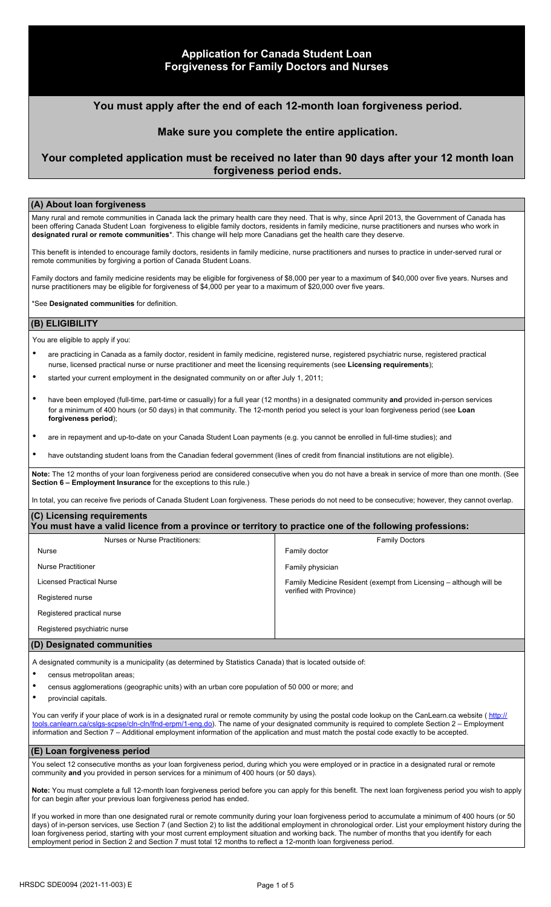# **Application for Canada Student Loan Forgiveness for Family Doctors and Nurses**

## **You must apply after the end of each 12-month loan forgiveness period.**

### **Make sure you complete the entire application.**

# **Your completed application must be received no later than 90 days after your 12 month loan forgiveness period ends.**

#### **(A) About loan forgiveness**

Many rural and remote communities in Canada lack the primary health care they need. That is why, since April 2013, the Government of Canada has been offering Canada Student Loan forgiveness to eligible family doctors, residents in family medicine, nurse practitioners and nurses who work in **designated rural or remote communities**\*. This change will help more Canadians get the health care they deserve.

This benefit is intended to encourage family doctors, residents in family medicine, nurse practitioners and nurses to practice in under-served rural or remote communities by forgiving a portion of Canada Student Loans.

Family doctors and family medicine residents may be eligible for forgiveness of \$8,000 per year to a maximum of \$40,000 over five years. Nurses and nurse practitioners may be eligible for forgiveness of \$4,000 per year to a maximum of \$20,000 over five years.

\*See **Designated communities** for definition.

### **(B) ELIGIBILITY**

You are eligible to apply if you:

- are practicing in Canada as a family doctor, resident in family medicine, registered nurse, registered psychiatric nurse, registered practical nurse, licensed practical nurse or nurse practitioner and meet the licensing requirements (see **Licensing requirements**);
- started your current employment in the designated community on or after July 1, 2011;
- have been employed (full-time, part-time or casually) for a full year (12 months) in a designated community **and** provided in-person services for a minimum of 400 hours (or 50 days) in that community. The 12-month period you select is your loan forgiveness period (see **Loan forgiveness period**);
- are in repayment and up-to-date on your Canada Student Loan payments (e.g. you cannot be enrolled in full-time studies); and
- have outstanding student loans from the Canadian federal government (lines of credit from financial institutions are not eligible).

**Note:** The 12 months of your loan forgiveness period are considered consecutive when you do not have a break in service of more than one month. (See **Section 6 – Employment Insurance** for the exceptions to this rule.)

In total, you can receive five periods of Canada Student Loan forgiveness. These periods do not need to be consecutive; however, they cannot overlap.

#### **(C) Licensing requirements You must have a valid licence from a province or territory to practice one of the following professions:**

| Nurses or Nurse Practitioners: | <b>Family Doctors</b>                                              |
|--------------------------------|--------------------------------------------------------------------|
| <b>Nurse</b>                   | Family doctor                                                      |
| Nurse Practitioner             | Family physician                                                   |
| Licensed Practical Nurse       | Family Medicine Resident (exempt from Licensing - although will be |
| Registered nurse               | verified with Province)                                            |
| Registered practical nurse     |                                                                    |
| Registered psychiatric nurse   |                                                                    |
| $\mathbf{r}$                   |                                                                    |

#### **(D) Designated communities**

A designated community is a municipality (as determined by Statistics Canada) that is located outside of:

- census metropolitan areas;
- census agglomerations (geographic units) with an urban core population of 50 000 or more; and
- provincial capitals.

You can verify if your place of work is in a designated rural or remote community by using the postal code lookup on the CanLearn.ca website ( http:// tools.canlearn.ca/cslgs-scpse/cln-cln/lfnd-erpm/1-eng.do). The name of your designated community is required to complete Section 2 – Employment information and Section 7 – Additional employment information of the application and must match the postal code exactly to be accepted.

#### **(E) Loan forgiveness period**

You select 12 consecutive months as your loan forgiveness period, during which you were employed or in practice in a designated rural or remote community **and** you provided in person services for a minimum of 400 hours (or 50 days).

**Note:** You must complete a full 12-month loan forgiveness period before you can apply for this benefit. The next loan forgiveness period you wish to apply for can begin after your previous loan forgiveness period has ended.

If you worked in more than one designated rural or remote community during your loan forgiveness period to accumulate a minimum of 400 hours (or 50 days) of in-person services, use Section 7 (and Section 2) to list the additional employment in chronological order. List your employment history during the loan forgiveness period, starting with your most current employment situation and working back. The number of months that you identify for each employment period in Section 2 and Section 7 must total 12 months to reflect a 12-month loan forgiveness period.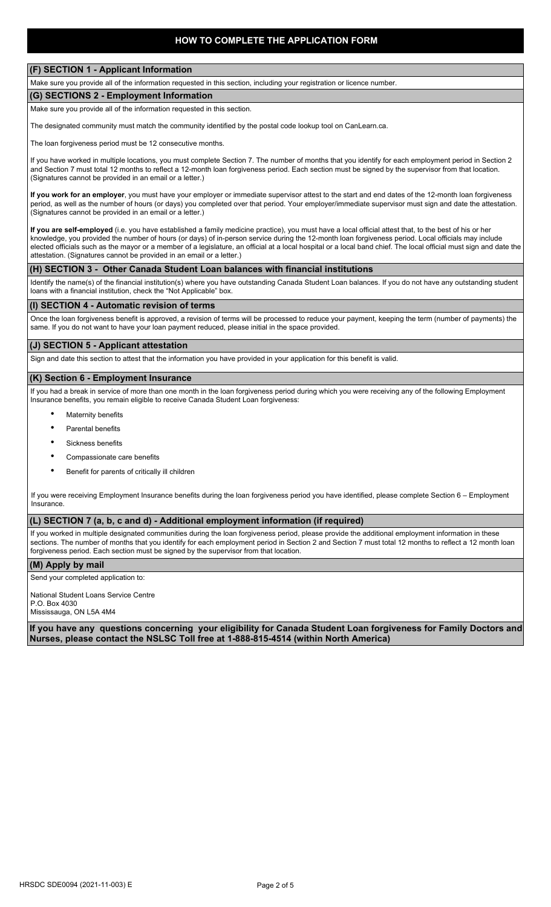#### **(F) SECTION 1 - Applicant Information**

Make sure you provide all of the information requested in this section, including your registration or licence number.

# **(G) SECTIONS 2 - Employment Information**

Make sure you provide all of the information requested in this section.

The designated community must match the community identified by the postal code lookup tool on CanLearn.ca.

The loan forgiveness period must be 12 consecutive months.

If you have worked in multiple locations, you must complete Section 7. The number of months that you identify for each employment period in Section 2 and Section 7 must total 12 months to reflect a 12-month loan forgiveness period. Each section must be signed by the supervisor from that location. (Signatures cannot be provided in an email or a letter.)

**If you work for an employer**, you must have your employer or immediate supervisor attest to the start and end dates of the 12-month loan forgiveness period, as well as the number of hours (or days) you completed over that period. Your employer/immediate supervisor must sign and date the attestation. (Signatures cannot be provided in an email or a letter.)

**If you are self-employed** (i.e. you have established a family medicine practice), you must have a local official attest that, to the best of his or her knowledge, you provided the number of hours (or days) of in-person service during the 12-month loan forgiveness period. Local officials may include elected officials such as the mayor or a member of a legislature, an official at a local hospital or a local band chief. The local official must sign and date the attestation. (Signatures cannot be provided in an email or a letter.)

#### **(H) SECTION 3 - Other Canada Student Loan balances with financial institutions**

Identify the name(s) of the financial institution(s) where you have outstanding Canada Student Loan balances. If you do not have any outstanding student loans with a financial institution, check the "Not Applicable" box.

#### **(I) SECTION 4 - Automatic revision of terms**

Once the loan forgiveness benefit is approved, a revision of terms will be processed to reduce your payment, keeping the term (number of payments) the same. If you do not want to have your loan payment reduced, please initial in the space provided.

#### **(J) SECTION 5 - Applicant attestation**

Sign and date this section to attest that the information you have provided in your application for this benefit is valid.

#### **(K) Section 6 - Employment Insurance**

If you had a break in service of more than one month in the loan forgiveness period during which you were receiving any of the following Employment Insurance benefits, you remain eligible to receive Canada Student Loan forgiveness:

- **Maternity benefits**
- Parental benefits
- Sickness benefits
- Compassionate care benefits
- Benefit for parents of critically ill children

If you were receiving Employment Insurance benefits during the loan forgiveness period you have identified, please complete Section 6 – Employment Insurance.

### **(L) SECTION 7 (a, b, c and d) - Additional employment information (if required)**

If you worked in multiple designated communities during the loan forgiveness period, please provide the additional employment information in these sections. The number of months that you identify for each employment period in Section 2 and Section 7 must total 12 months to reflect a 12 month loan forgiveness period. Each section must be signed by the supervisor from that location.

#### **(M) Apply by mail**

Send your completed application to:

National Student Loans Service Centre P.O. Box 4030

Mississauga, ON L5A 4M4

**If you have any questions concerning your eligibility for Canada Student Loan forgiveness for Family Doctors and Nurses, please contact the NSLSC Toll free at 1-888-815-4514 (within North America)**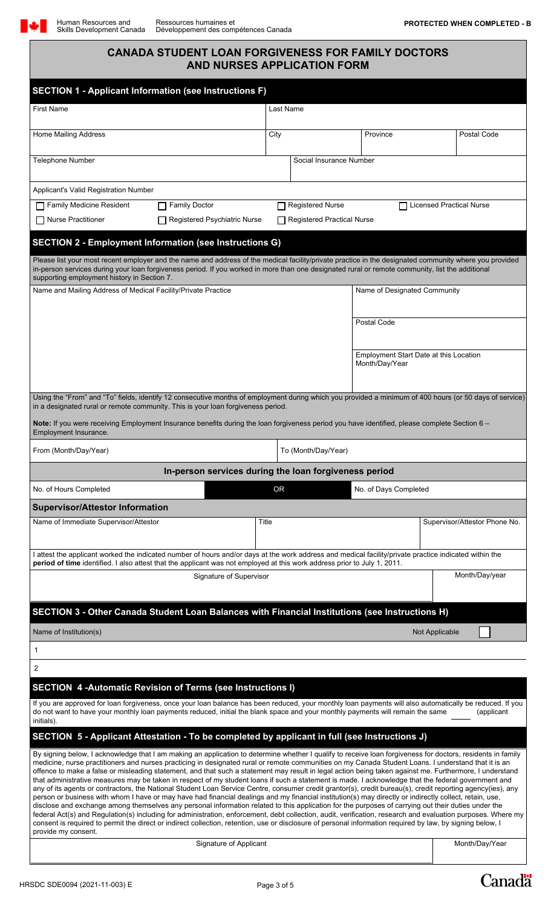# **CANADA STUDENT LOAN FORGIVENESS FOR FAMILY DOCTORS AND NURSES APPLICATION FORM**

| <b>SECTION 1 - Applicant Information (see Instructions F)</b>                                                                                                                                                                                                                                                                                                                                                                                                                                                                                                                                                                                                                                                                                                                                                                                                                                                                                                                                                                                                                                                                                                                                                                                                                                                                                                                                                                                                               |                              |                                   |                                                          |                |                                 |  |
|-----------------------------------------------------------------------------------------------------------------------------------------------------------------------------------------------------------------------------------------------------------------------------------------------------------------------------------------------------------------------------------------------------------------------------------------------------------------------------------------------------------------------------------------------------------------------------------------------------------------------------------------------------------------------------------------------------------------------------------------------------------------------------------------------------------------------------------------------------------------------------------------------------------------------------------------------------------------------------------------------------------------------------------------------------------------------------------------------------------------------------------------------------------------------------------------------------------------------------------------------------------------------------------------------------------------------------------------------------------------------------------------------------------------------------------------------------------------------------|------------------------------|-----------------------------------|----------------------------------------------------------|----------------|---------------------------------|--|
| <b>First Name</b>                                                                                                                                                                                                                                                                                                                                                                                                                                                                                                                                                                                                                                                                                                                                                                                                                                                                                                                                                                                                                                                                                                                                                                                                                                                                                                                                                                                                                                                           | Last Name                    |                                   |                                                          |                |                                 |  |
| <b>Home Mailing Address</b>                                                                                                                                                                                                                                                                                                                                                                                                                                                                                                                                                                                                                                                                                                                                                                                                                                                                                                                                                                                                                                                                                                                                                                                                                                                                                                                                                                                                                                                 | City                         |                                   | Province                                                 |                | Postal Code                     |  |
| <b>Telephone Number</b>                                                                                                                                                                                                                                                                                                                                                                                                                                                                                                                                                                                                                                                                                                                                                                                                                                                                                                                                                                                                                                                                                                                                                                                                                                                                                                                                                                                                                                                     |                              | Social Insurance Number           |                                                          |                |                                 |  |
| Applicant's Valid Registration Number                                                                                                                                                                                                                                                                                                                                                                                                                                                                                                                                                                                                                                                                                                                                                                                                                                                                                                                                                                                                                                                                                                                                                                                                                                                                                                                                                                                                                                       |                              |                                   |                                                          |                |                                 |  |
| Family Medicine Resident<br><b>Family Doctor</b>                                                                                                                                                                                                                                                                                                                                                                                                                                                                                                                                                                                                                                                                                                                                                                                                                                                                                                                                                                                                                                                                                                                                                                                                                                                                                                                                                                                                                            |                              | <b>Registered Nurse</b>           |                                                          |                | <b>Licensed Practical Nurse</b> |  |
| <b>Nurse Practitioner</b><br>Registered Psychiatric Nurse                                                                                                                                                                                                                                                                                                                                                                                                                                                                                                                                                                                                                                                                                                                                                                                                                                                                                                                                                                                                                                                                                                                                                                                                                                                                                                                                                                                                                   |                              | <b>Registered Practical Nurse</b> |                                                          |                |                                 |  |
| <b>SECTION 2 - Employment Information (see Instructions G)</b><br>Please list your most recent employer and the name and address of the medical facility/private practice in the designated community where you provided<br>in-person services during your loan forgiveness period. If you worked in more than one designated rural or remote community, list the additional<br>supporting employment history in Section 7.                                                                                                                                                                                                                                                                                                                                                                                                                                                                                                                                                                                                                                                                                                                                                                                                                                                                                                                                                                                                                                                 |                              |                                   |                                                          |                |                                 |  |
| Name and Mailing Address of Medical Facility/Private Practice                                                                                                                                                                                                                                                                                                                                                                                                                                                                                                                                                                                                                                                                                                                                                                                                                                                                                                                                                                                                                                                                                                                                                                                                                                                                                                                                                                                                               | Name of Designated Community |                                   |                                                          |                |                                 |  |
|                                                                                                                                                                                                                                                                                                                                                                                                                                                                                                                                                                                                                                                                                                                                                                                                                                                                                                                                                                                                                                                                                                                                                                                                                                                                                                                                                                                                                                                                             |                              |                                   | Postal Code                                              |                |                                 |  |
|                                                                                                                                                                                                                                                                                                                                                                                                                                                                                                                                                                                                                                                                                                                                                                                                                                                                                                                                                                                                                                                                                                                                                                                                                                                                                                                                                                                                                                                                             |                              |                                   | Employment Start Date at this Location<br>Month/Day/Year |                |                                 |  |
| Using the "From" and "To" fields, identify 12 consecutive months of employment during which you provided a minimum of 400 hours (or 50 days of service)<br>in a designated rural or remote community. This is your loan forgiveness period.                                                                                                                                                                                                                                                                                                                                                                                                                                                                                                                                                                                                                                                                                                                                                                                                                                                                                                                                                                                                                                                                                                                                                                                                                                 |                              |                                   |                                                          |                |                                 |  |
| Note: If you were receiving Employment Insurance benefits during the loan forgiveness period you have identified, please complete Section 6 -<br>Employment Insurance.                                                                                                                                                                                                                                                                                                                                                                                                                                                                                                                                                                                                                                                                                                                                                                                                                                                                                                                                                                                                                                                                                                                                                                                                                                                                                                      |                              |                                   |                                                          |                |                                 |  |
| From (Month/Day/Year)                                                                                                                                                                                                                                                                                                                                                                                                                                                                                                                                                                                                                                                                                                                                                                                                                                                                                                                                                                                                                                                                                                                                                                                                                                                                                                                                                                                                                                                       |                              | To (Month/Day/Year)               |                                                          |                |                                 |  |
| In-person services during the loan forgiveness period                                                                                                                                                                                                                                                                                                                                                                                                                                                                                                                                                                                                                                                                                                                                                                                                                                                                                                                                                                                                                                                                                                                                                                                                                                                                                                                                                                                                                       |                              |                                   |                                                          |                |                                 |  |
| No. of Hours Completed                                                                                                                                                                                                                                                                                                                                                                                                                                                                                                                                                                                                                                                                                                                                                                                                                                                                                                                                                                                                                                                                                                                                                                                                                                                                                                                                                                                                                                                      | 0R                           |                                   | No. of Days Completed                                    |                |                                 |  |
| <b>Supervisor/Attestor Information</b>                                                                                                                                                                                                                                                                                                                                                                                                                                                                                                                                                                                                                                                                                                                                                                                                                                                                                                                                                                                                                                                                                                                                                                                                                                                                                                                                                                                                                                      |                              |                                   |                                                          |                |                                 |  |
| Name of Immediate Supervisor/Attestor                                                                                                                                                                                                                                                                                                                                                                                                                                                                                                                                                                                                                                                                                                                                                                                                                                                                                                                                                                                                                                                                                                                                                                                                                                                                                                                                                                                                                                       | Title                        |                                   |                                                          |                | Supervisor/Attestor Phone No.   |  |
| attest the applicant worked the indicated number of hours and/or days at the work address and medical facility/private practice indicated within the<br>period of time identified. I also attest that the applicant was not employed at this work address prior to July 1, 2011.                                                                                                                                                                                                                                                                                                                                                                                                                                                                                                                                                                                                                                                                                                                                                                                                                                                                                                                                                                                                                                                                                                                                                                                            |                              |                                   |                                                          |                |                                 |  |
| Signature of Supervisor                                                                                                                                                                                                                                                                                                                                                                                                                                                                                                                                                                                                                                                                                                                                                                                                                                                                                                                                                                                                                                                                                                                                                                                                                                                                                                                                                                                                                                                     |                              |                                   |                                                          |                | Month/Day/year                  |  |
| SECTION 3 - Other Canada Student Loan Balances with Financial Institutions (see Instructions H)                                                                                                                                                                                                                                                                                                                                                                                                                                                                                                                                                                                                                                                                                                                                                                                                                                                                                                                                                                                                                                                                                                                                                                                                                                                                                                                                                                             |                              |                                   |                                                          |                |                                 |  |
| Name of Institution(s)                                                                                                                                                                                                                                                                                                                                                                                                                                                                                                                                                                                                                                                                                                                                                                                                                                                                                                                                                                                                                                                                                                                                                                                                                                                                                                                                                                                                                                                      |                              |                                   |                                                          | Not Applicable |                                 |  |
| 1                                                                                                                                                                                                                                                                                                                                                                                                                                                                                                                                                                                                                                                                                                                                                                                                                                                                                                                                                                                                                                                                                                                                                                                                                                                                                                                                                                                                                                                                           |                              |                                   |                                                          |                |                                 |  |
| 2                                                                                                                                                                                                                                                                                                                                                                                                                                                                                                                                                                                                                                                                                                                                                                                                                                                                                                                                                                                                                                                                                                                                                                                                                                                                                                                                                                                                                                                                           |                              |                                   |                                                          |                |                                 |  |
| SECTION 4 - Automatic Revision of Terms (see Instructions I)<br>If you are approved for loan forgiveness, once your loan balance has been reduced, your monthly loan payments will also automatically be reduced. If you<br>do not want to have your monthly loan payments reduced, initial the blank space and your monthly payments will remain the same<br>initials).                                                                                                                                                                                                                                                                                                                                                                                                                                                                                                                                                                                                                                                                                                                                                                                                                                                                                                                                                                                                                                                                                                    |                              |                                   |                                                          |                | (applicant                      |  |
| SECTION 5 - Applicant Attestation - To be completed by applicant in full (see Instructions J)                                                                                                                                                                                                                                                                                                                                                                                                                                                                                                                                                                                                                                                                                                                                                                                                                                                                                                                                                                                                                                                                                                                                                                                                                                                                                                                                                                               |                              |                                   |                                                          |                |                                 |  |
| By signing below, I acknowledge that I am making an application to determine whether I qualify to receive loan forgiveness for doctors, residents in family<br>medicine, nurse practitioners and nurses practicing in designated rural or remote communities on my Canada Student Loans. I understand that it is an<br>offence to make a false or misleading statement, and that such a statement may result in legal action being taken against me. Furthermore, I understand<br>that administrative measures may be taken in respect of my student loans if such a statement is made. I acknowledge that the federal government and<br>any of its agents or contractors, the National Student Loan Service Centre, consumer credit grantor(s), credit bureau(s), credit reporting agency(ies), any<br>person or business with whom I have or may have had financial dealings and my financial institution(s) may directly or indirectly collect, retain, use,<br>disclose and exchange among themselves any personal information related to this application for the purposes of carrying out their duties under the<br>federal Act(s) and Regulation(s) including for administration, enforcement, debt collection, audit, verification, research and evaluation purposes. Where my<br>consent is required to permit the direct or indirect collection, retention, use or disclosure of personal information required by law, by signing below, I<br>provide my consent. |                              |                                   |                                                          |                |                                 |  |
| Signature of Applicant                                                                                                                                                                                                                                                                                                                                                                                                                                                                                                                                                                                                                                                                                                                                                                                                                                                                                                                                                                                                                                                                                                                                                                                                                                                                                                                                                                                                                                                      |                              |                                   |                                                          |                | Month/Day/Year                  |  |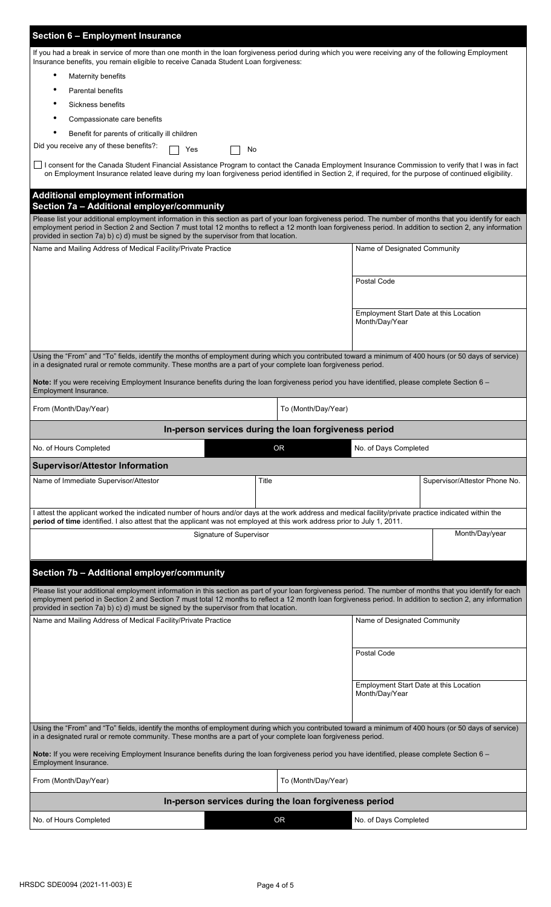| <b>Section 6 - Employment Insurance</b>                                                                                                                                                                                                                                                                                                                                                                            |                     |                                                          |                               |  |  |  |
|--------------------------------------------------------------------------------------------------------------------------------------------------------------------------------------------------------------------------------------------------------------------------------------------------------------------------------------------------------------------------------------------------------------------|---------------------|----------------------------------------------------------|-------------------------------|--|--|--|
| If you had a break in service of more than one month in the loan forgiveness period during which you were receiving any of the following Employment<br>Insurance benefits, you remain eligible to receive Canada Student Loan forgiveness:                                                                                                                                                                         |                     |                                                          |                               |  |  |  |
| Maternity benefits                                                                                                                                                                                                                                                                                                                                                                                                 |                     |                                                          |                               |  |  |  |
| <b>Parental benefits</b>                                                                                                                                                                                                                                                                                                                                                                                           |                     |                                                          |                               |  |  |  |
| Sickness benefits                                                                                                                                                                                                                                                                                                                                                                                                  |                     |                                                          |                               |  |  |  |
| Compassionate care benefits                                                                                                                                                                                                                                                                                                                                                                                        |                     |                                                          |                               |  |  |  |
| Benefit for parents of critically ill children                                                                                                                                                                                                                                                                                                                                                                     |                     |                                                          |                               |  |  |  |
| Did you receive any of these benefits?:<br>Yes<br>No                                                                                                                                                                                                                                                                                                                                                               |                     |                                                          |                               |  |  |  |
| □ I consent for the Canada Student Financial Assistance Program to contact the Canada Employment Insurance Commission to verify that I was in fact<br>on Employment Insurance related leave during my loan forgiveness period identified in Section 2, if required, for the purpose of continued eligibility.                                                                                                      |                     |                                                          |                               |  |  |  |
| <b>Additional employment information</b><br>Section 7a - Additional employer/community                                                                                                                                                                                                                                                                                                                             |                     |                                                          |                               |  |  |  |
| Please list your additional employment information in this section as part of your loan forgiveness period. The number of months that you identify for each<br>employment period in Section 2 and Section 7 must total 12 months to reflect a 12 month loan forgiveness period. In addition to section 2, any information<br>provided in section 7a) b) c) d) must be signed by the supervisor from that location. |                     |                                                          |                               |  |  |  |
| Name and Mailing Address of Medical Facility/Private Practice                                                                                                                                                                                                                                                                                                                                                      |                     | Name of Designated Community                             |                               |  |  |  |
|                                                                                                                                                                                                                                                                                                                                                                                                                    |                     | Postal Code                                              |                               |  |  |  |
|                                                                                                                                                                                                                                                                                                                                                                                                                    |                     |                                                          |                               |  |  |  |
|                                                                                                                                                                                                                                                                                                                                                                                                                    |                     | Employment Start Date at this Location<br>Month/Day/Year |                               |  |  |  |
|                                                                                                                                                                                                                                                                                                                                                                                                                    |                     |                                                          |                               |  |  |  |
| Using the "From" and "To" fields, identify the months of employment during which you contributed toward a minimum of 400 hours (or 50 days of service)<br>in a designated rural or remote community. These months are a part of your complete loan forgiveness period.                                                                                                                                             |                     |                                                          |                               |  |  |  |
| Note: If you were receiving Employment Insurance benefits during the loan forgiveness period you have identified, please complete Section 6 -<br>Employment Insurance.                                                                                                                                                                                                                                             |                     |                                                          |                               |  |  |  |
| From (Month/Day/Year)                                                                                                                                                                                                                                                                                                                                                                                              | To (Month/Day/Year) |                                                          |                               |  |  |  |
| In-person services during the loan forgiveness period                                                                                                                                                                                                                                                                                                                                                              |                     |                                                          |                               |  |  |  |
| No. of Hours Completed                                                                                                                                                                                                                                                                                                                                                                                             | <b>OR</b>           | No. of Days Completed                                    |                               |  |  |  |
| <b>Supervisor/Attestor Information</b>                                                                                                                                                                                                                                                                                                                                                                             |                     |                                                          |                               |  |  |  |
| Name of Immediate Supervisor/Attestor                                                                                                                                                                                                                                                                                                                                                                              | Title               |                                                          | Supervisor/Attestor Phone No. |  |  |  |
|                                                                                                                                                                                                                                                                                                                                                                                                                    |                     |                                                          |                               |  |  |  |
| I attest the applicant worked the indicated number of hours and/or days at the work address and medical facility/private practice indicated within the<br>period of time identified. I also attest that the applicant was not employed at this work address prior to July 1, 2011.                                                                                                                                 |                     |                                                          |                               |  |  |  |
| Signature of Supervisor                                                                                                                                                                                                                                                                                                                                                                                            |                     |                                                          | Month/Day/year                |  |  |  |
| Section 7b - Additional employer/community                                                                                                                                                                                                                                                                                                                                                                         |                     |                                                          |                               |  |  |  |
|                                                                                                                                                                                                                                                                                                                                                                                                                    |                     |                                                          |                               |  |  |  |
| Please list your additional employment information in this section as part of your loan forgiveness period. The number of months that you identify for each<br>employment period in Section 2 and Section 7 must total 12 months to reflect a 12 month loan forgiveness period. In addition to section 2, any information<br>provided in section 7a) b) c) d) must be signed by the supervisor from that location. |                     |                                                          |                               |  |  |  |
| Name and Mailing Address of Medical Facility/Private Practice                                                                                                                                                                                                                                                                                                                                                      |                     | Name of Designated Community                             |                               |  |  |  |
|                                                                                                                                                                                                                                                                                                                                                                                                                    |                     |                                                          |                               |  |  |  |
|                                                                                                                                                                                                                                                                                                                                                                                                                    |                     | Postal Code                                              |                               |  |  |  |
|                                                                                                                                                                                                                                                                                                                                                                                                                    |                     |                                                          |                               |  |  |  |
|                                                                                                                                                                                                                                                                                                                                                                                                                    |                     | Employment Start Date at this Location                   |                               |  |  |  |
|                                                                                                                                                                                                                                                                                                                                                                                                                    |                     | Month/Day/Year                                           |                               |  |  |  |
|                                                                                                                                                                                                                                                                                                                                                                                                                    |                     |                                                          |                               |  |  |  |
| Using the "From" and "To" fields, identify the months of employment during which you contributed toward a minimum of 400 hours (or 50 days of service)<br>in a designated rural or remote community. These months are a part of your complete loan forgiveness period.                                                                                                                                             |                     |                                                          |                               |  |  |  |
| Note: If you were receiving Employment Insurance benefits during the loan forgiveness period you have identified, please complete Section 6 -<br>Employment Insurance.                                                                                                                                                                                                                                             |                     |                                                          |                               |  |  |  |
|                                                                                                                                                                                                                                                                                                                                                                                                                    |                     | To (Month/Day/Year)                                      |                               |  |  |  |
| From (Month/Day/Year)                                                                                                                                                                                                                                                                                                                                                                                              |                     |                                                          |                               |  |  |  |
| In-person services during the loan forgiveness period                                                                                                                                                                                                                                                                                                                                                              |                     |                                                          |                               |  |  |  |